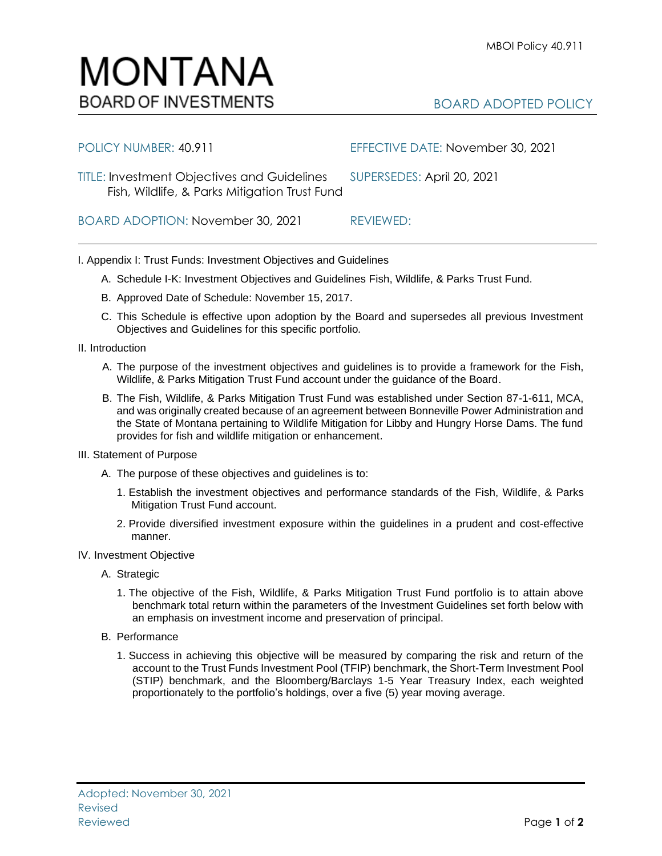## BOARD ADOPTED POLICY

TITLE: Investment Objectives and Guidelines SUPERSEDES: April 20, 2021 Fish, Wildlife, & Parks Mitigation Trust Fund

I. Appendix I: Trust Funds: Investment Objectives and Guidelines

- A. Schedule I-K: Investment Objectives and Guidelines Fish, Wildlife, & Parks Trust Fund.
- B. Approved Date of Schedule: November 15, 2017.
- C. This Schedule is effective upon adoption by the Board and supersedes all previous Investment Objectives and Guidelines for this specific portfolio*.*
- II. Introduction
	- A. The purpose of the investment objectives and guidelines is to provide a framework for the Fish, Wildlife, & Parks Mitigation Trust Fund account under the guidance of the Board.
	- B. The Fish, Wildlife, & Parks Mitigation Trust Fund was established under Section 87-1-611, MCA, and was originally created because of an agreement between Bonneville Power Administration and the State of Montana pertaining to Wildlife Mitigation for Libby and Hungry Horse Dams. The fund provides for fish and wildlife mitigation or enhancement.
- III. Statement of Purpose
	- A. The purpose of these objectives and guidelines is to:
		- 1. Establish the investment objectives and performance standards of the Fish, Wildlife, & Parks Mitigation Trust Fund account.
		- 2. Provide diversified investment exposure within the guidelines in a prudent and cost-effective manner.
- IV. Investment Objective
	- A. Strategic
		- 1. The objective of the Fish, Wildlife, & Parks Mitigation Trust Fund portfolio is to attain above benchmark total return within the parameters of the Investment Guidelines set forth below with an emphasis on investment income and preservation of principal.
	- B. Performance
		- 1. Success in achieving this objective will be measured by comparing the risk and return of the account to the Trust Funds Investment Pool (TFIP) benchmark, the Short-Term Investment Pool (STIP) benchmark, and the Bloomberg/Barclays 1-5 Year Treasury Index, each weighted proportionately to the portfolio's holdings, over a five (5) year moving average.



BOARD ADOPTION: November 30, 2021 REVIEWED:

POLICY NUMBER: 40.911 EFFECTIVE DATE: November 30, 2021